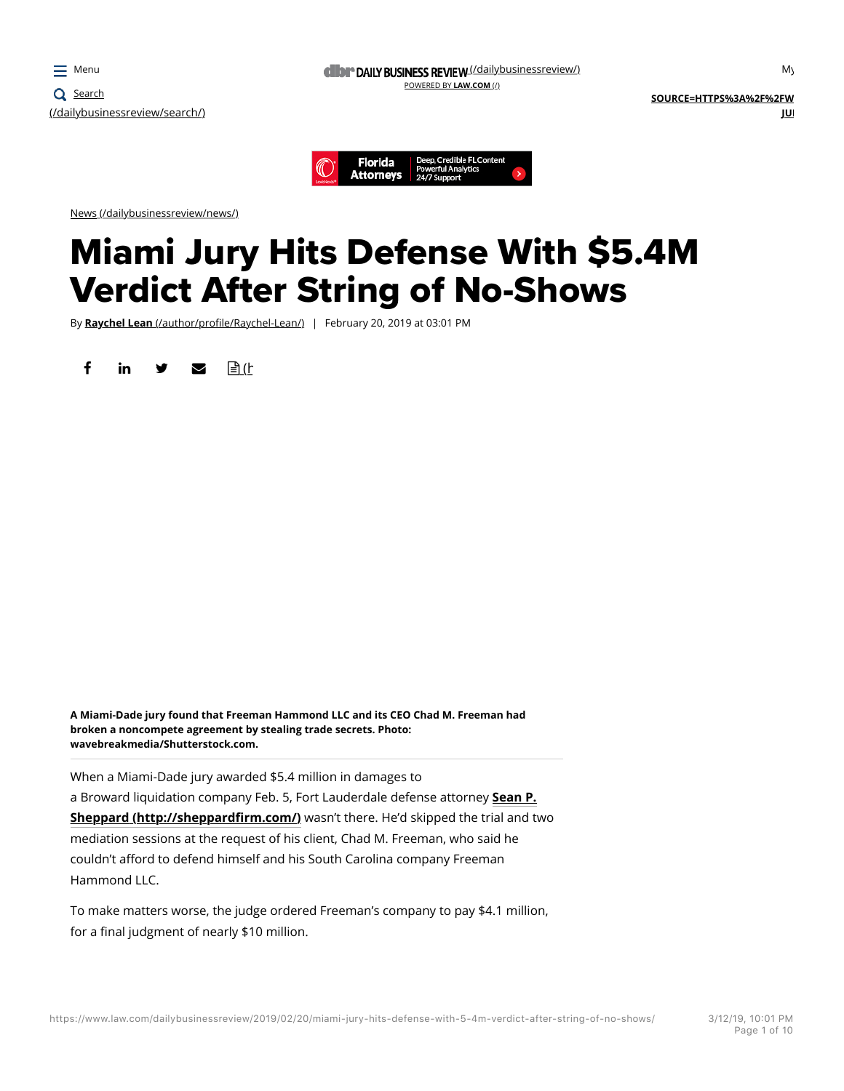



News (/dailybusinessreview/news/)

# Miami Jury Hits Defense With \$5.4M Verdict After String of No-Shows

By **Raychel Lean** (/author/profile/Raychel-Lean/) | February 20, 2019 at 03:01 PM

finity  $\blacksquare$  (http://www.almreprints.com)



**A Miami-Dade jury found that Freeman Hammond LLC and its CEO Chad M. Freeman had broken a noncompete agreement by stealing trade secrets. Photo: wavebreakmedia/Shutterstock.com.**

When a Miami-Dade jury awarded \$5.4 million in damages to a Broward liquidation company Feb. 5, Fort Lauderdale defense attorney **Sean P. Sheppard (http://sheppardfirm.com/)** wasn't there. He'd skipped the trial and two mediation sessions at the request of his client, Chad M. Freeman, who said he couldn't afford to defend himself and his South Carolina company Freeman Hammond LLC.

To make matters worse, the judge ordered Freeman's company to pay \$4.1 million, for a final judgment of nearly \$10 million.

 $M<sub>1</sub>$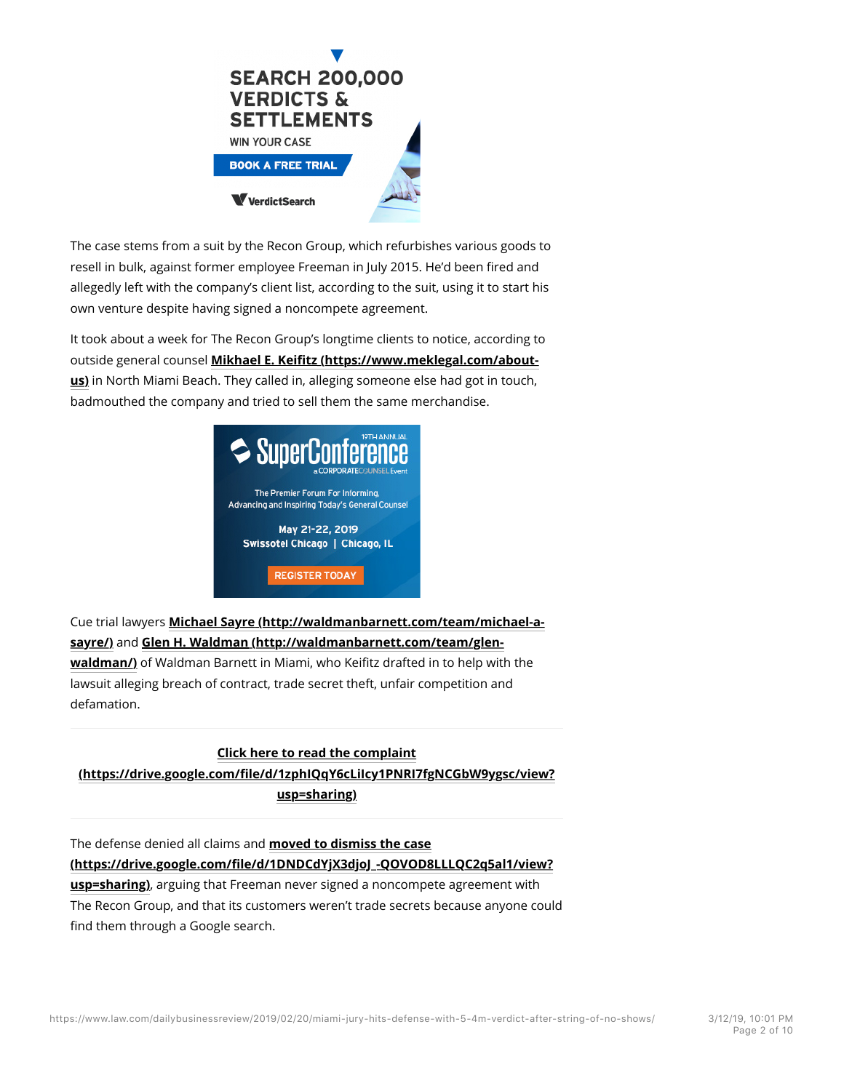

The case stems from a suit by the Recon Group, which refurbishes various goods to resell in bulk, against former employee Freeman in July 2015. He'd been fired and allegedly left with the company's client list, according to the suit, using it to start his own venture despite having signed a noncompete agreement.

It took about a week for The Recon Group's longtime clients to notice, according to outside general counsel **Mikhael E. Keifitz (https://www.meklegal.com/aboutus)** in North Miami Beach. They called in, alleging someone else had got in touch, badmouthed the company and tried to sell them the same merchandise.



Cue trial lawyers **Michael Sayre (http://waldmanbarnett.com/team/michael-asayre/)** and **Glen H. Waldman (http://waldmanbarnett.com/team/glenwaldman/)** of Waldman Barnett in Miami, who Keifitz drafted in to help with the lawsuit alleging breach of contract, trade secret theft, unfair competition and defamation.

# **Click here to read the complaint (https://drive.google.com/file/d/1zphIQqY6cLiIcy1PNRI7fgNCGbW9ygsc/view? usp=sharing)**

The defense denied all claims and **moved to dismiss the case (https://drive.google.com/file/d/1DNDCdYjX3djoJ\_-QOVOD8LLLQC2q5al1/view?**

**usp=sharing)**, arguing that Freeman never signed a noncompete agreement with The Recon Group, and that its customers weren't trade secrets because anyone could find them through a Google search.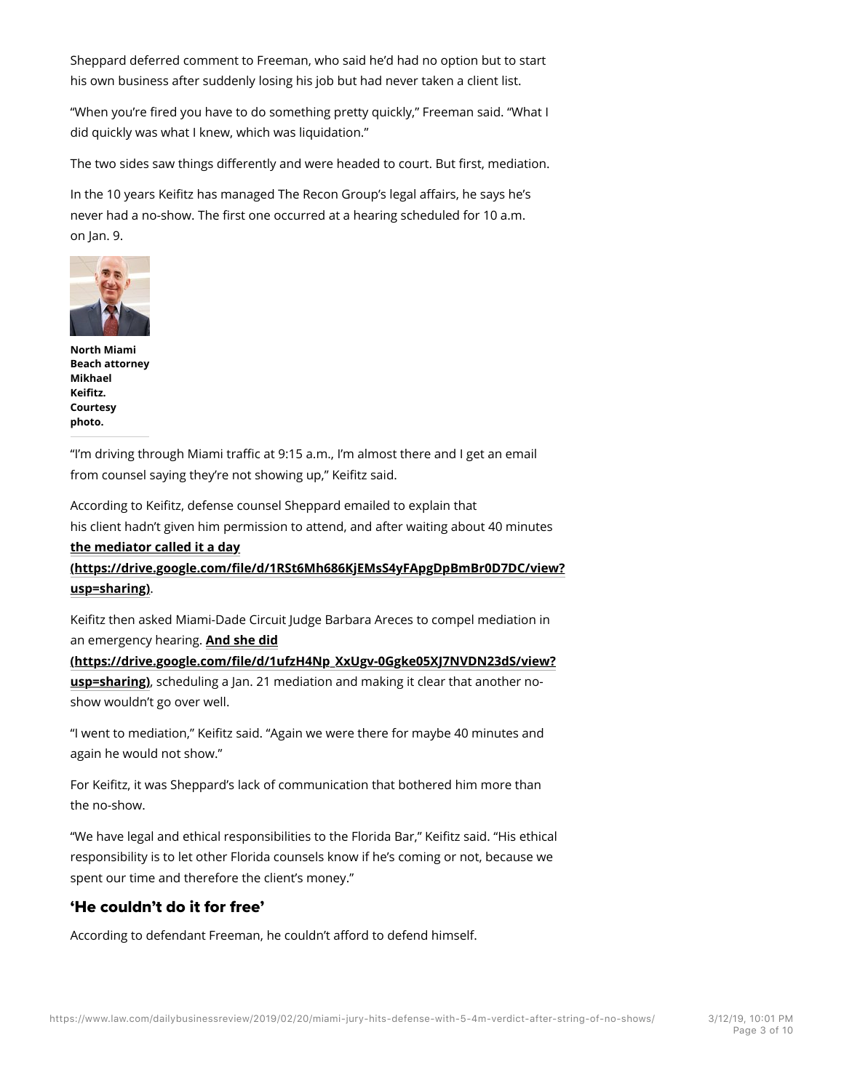Sheppard deferred comment to Freeman, who said he'd had no option but to start his own business after suddenly losing his job but had never taken a client list.

"When you're fired you have to do something pretty quickly," Freeman said. "What I did quickly was what I knew, which was liquidation."

The two sides saw things differently and were headed to court. But first, mediation.

In the 10 years Keifitz has managed The Recon Group's legal affairs, he says he's never had a no-show. The first one occurred at a hearing scheduled for 10 a.m. on Jan. 9.



**North Miami Beach attorney Mikhael Keifitz. Courtesy photo.**

"I'm driving through Miami traffic at 9:15 a.m., I'm almost there and I get an email from counsel saying they're not showing up," Keifitz said.

According to Keifitz, defense counsel Sheppard emailed to explain that his client hadn't given him permission to attend, and after waiting about 40 minutes **the mediator called it a day (https://drive.google.com/file/d/1RSt6Mh686KjEMsS4yFApgDpBmBr0D7DC/view? usp=sharing)**.

Keifitz then asked Miami-Dade Circuit Judge Barbara Areces to compel mediation in an emergency hearing. **And she did**

**(https://drive.google.com/file/d/1ufzH4Np\_XxUgv-0Ggke05XJ7NVDN23dS/view? usp=sharing)**, scheduling a Jan. 21 mediation and making it clear that another noshow wouldn't go over well.

"I went to mediation," Keifitz said. "Again we were there for maybe 40 minutes and again he would not show."

For Keifitz, it was Sheppard's lack of communication that bothered him more than the no-show.

"We have legal and ethical responsibilities to the Florida Bar," Keifitz said. "His ethical responsibility is to let other Florida counsels know if he's coming or not, because we spent our time and therefore the client's money."

## 'He couldn't do it for free'

According to defendant Freeman, he couldn't afford to defend himself.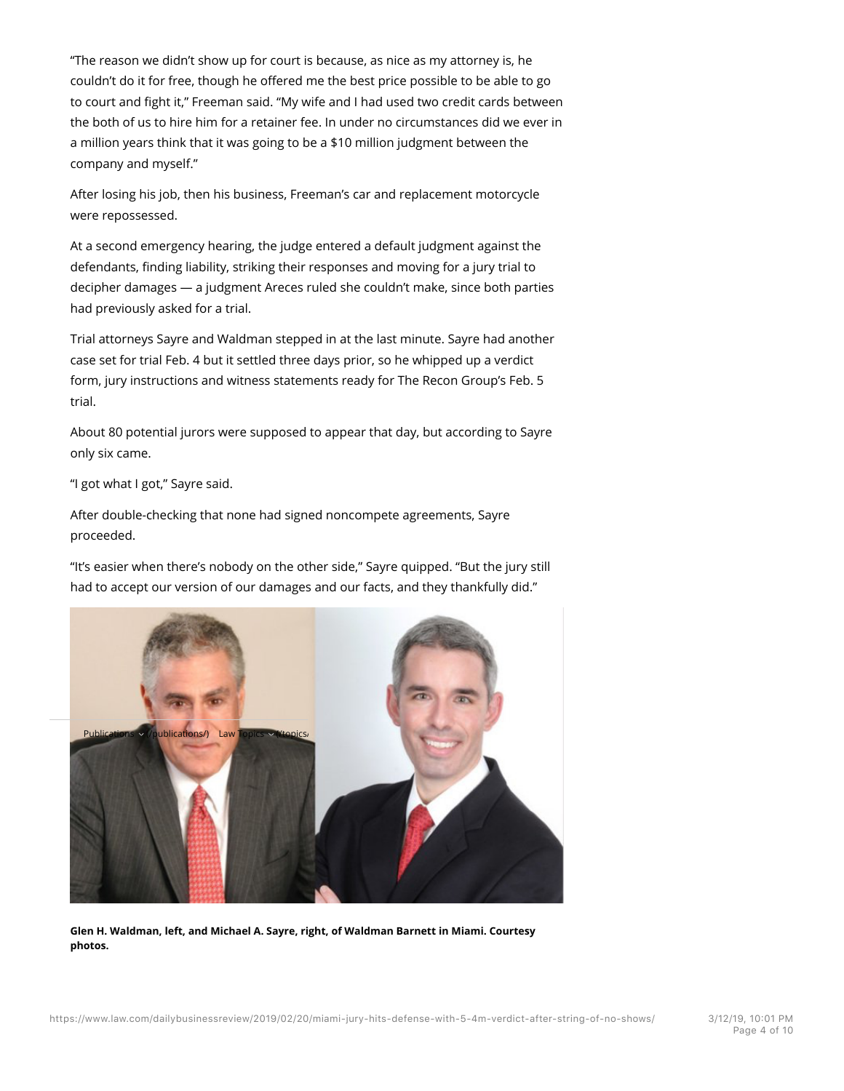"The reason we didn't show up for court is because, as nice as my attorney is, he couldn't do it for free, though he offered me the best price possible to be able to go to court and fight it," Freeman said. "My wife and I had used two credit cards between the both of us to hire him for a retainer fee. In under no circumstances did we ever in a million years think that it was going to be a \$10 million judgment between the company and myself."

After losing his job, then his business, Freeman's car and replacement motorcycle were repossessed.

At a second emergency hearing, the judge entered a default judgment against the defendants, finding liability, striking their responses and moving for a jury trial to decipher damages — a judgment Areces ruled she couldn't make, since both parties had previously asked for a trial.

Trial attorneys Sayre and Waldman stepped in at the last minute. Sayre had another case set for trial Feb. 4 but it settled three days prior, so he whipped up a verdict form, jury instructions and witness statements ready for The Recon Group's Feb. 5 trial.

About 80 potential jurors were supposed to appear that day, but according to Sayre only six came.

"I got what I got," Sayre said.

After double-checking that none had signed noncompete agreements, Sayre proceeded.

"It's easier when there's nobody on the other side," Sayre quipped. "But the jury still had to accept our version of our damages and our facts, and they thankfully did."



**Glen H. Waldman, left, and Michael A. Sayre, right, of Waldman Barnett in Miami. Courtesy photos.**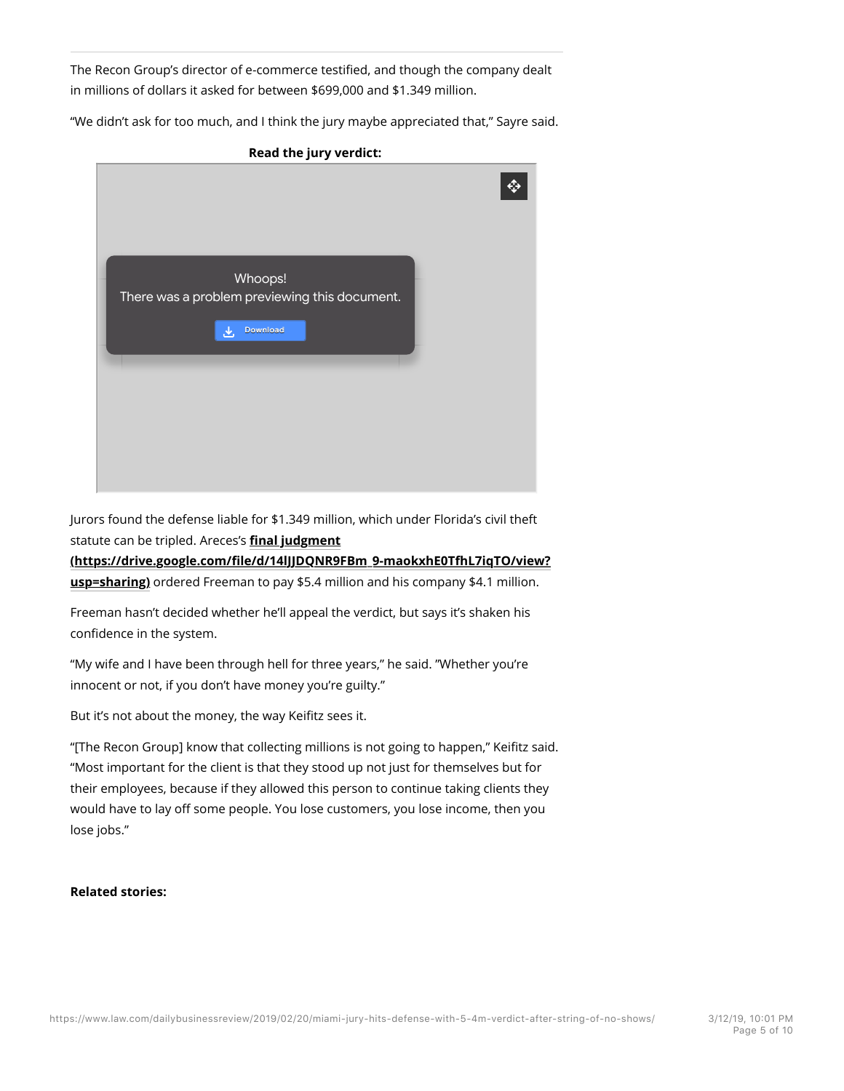The Recon Group's director of e-commerce testified, and though the company dealt in millions of dollars it asked for between \$699,000 and \$1.349 million.

"We didn't ask for too much, and I think the jury maybe appreciated that," Sayre said.



Jurors found the defense liable for \$1.349 million, which under Florida's civil theft statute can be tripled. Areces's **final judgment**

#### **(https://drive.google.com/file/d/14lJJDQNR9FBm\_9-maokxhE0TfhL7iqTO/view?**

**usp=sharing)** ordered Freeman to pay \$5.4 million and his company \$4.1 million.

Freeman hasn't decided whether he'll appeal the verdict, but says it's shaken his confidence in the system.

"My wife and I have been through hell for three years," he said. "Whether you're innocent or not, if you don't have money you're guilty."

But it's not about the money, the way Keifitz sees it.

"[The Recon Group] know that collecting millions is not going to happen," Keifitz said. "Most important for the client is that they stood up not just for themselves but for their employees, because if they allowed this person to continue taking clients they would have to lay off some people. You lose customers, you lose income, then you lose jobs."

#### **Related stories:**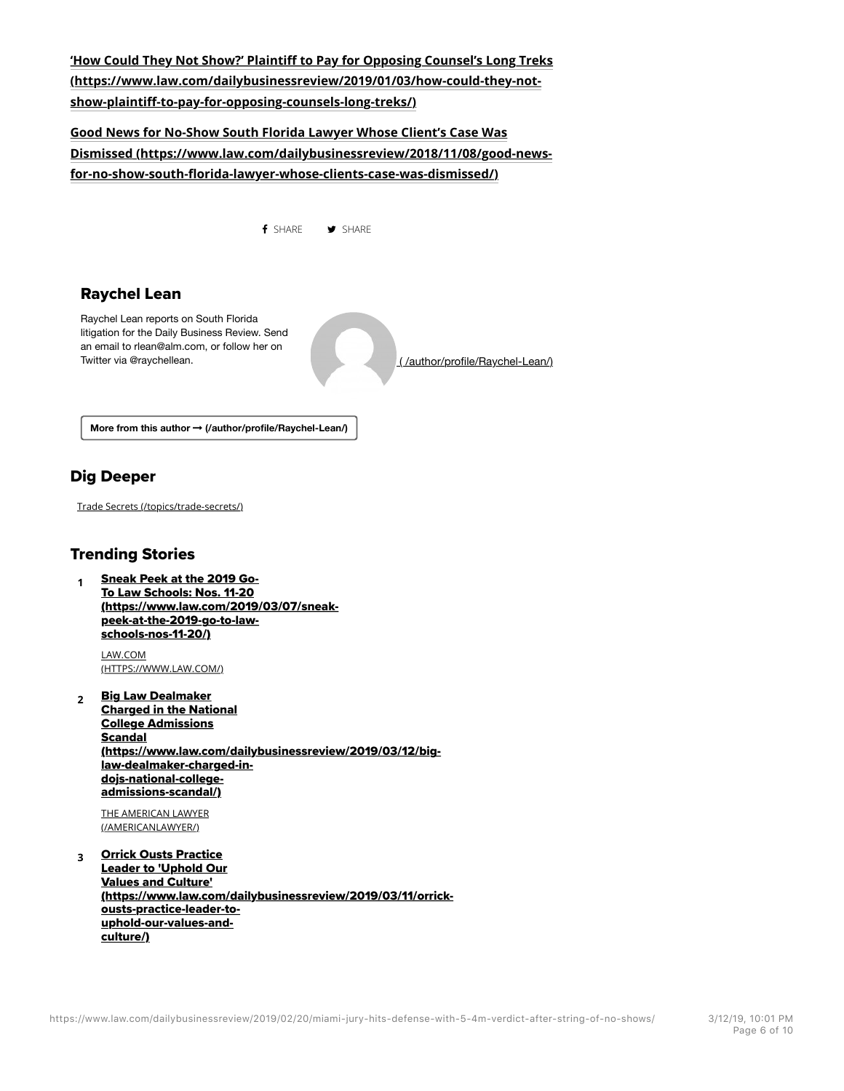## **'How Could They Not Show?' Plaintiff to Pay for Opposing Counsel's Long Treks (https://www.law.com/dailybusinessreview/2019/01/03/how-could-they-notshow-plaintiff-to-pay-for-opposing-counsels-long-treks/)**

## **Good News for No-Show South Florida Lawyer Whose Client's Case Was Dismissed (https://www.law.com/dailybusinessreview/2018/11/08/good-newsfor-no-show-south-florida-lawyer-whose-clients-case-was-dismissed/)**



# Dig Deeper

Trade Secrets (/topics/trade-secrets/)

### Trending Stories

**<sup>1</sup>** Sneak Peek at the 2019 Go-To Law Schools: Nos. 11-20 (https://www.law.com/2019/03/07/sneakpeek-at-the-2019-go-to-lawschools-nos-11-20/)

LAW.COM (HTTPS://WWW.LAW.COM/)

**<sup>2</sup>** Big Law Dealmaker Charged in the National College Admissions Scandal (https://www.law.com/dailybusinessreview/2019/03/12/biglaw-dealmaker-charged-indojs-national-collegeadmissions-scandal/)

THE AMERICAN LAWYER (/AMERICANLAWYER/)

**<sup>3</sup>** Orrick Ousts Practice Leader to 'Uphold Our Values and Culture' (https://www.law.com/dailybusinessreview/2019/03/11/orrickousts-practice-leader-touphold-our-values-andculture/)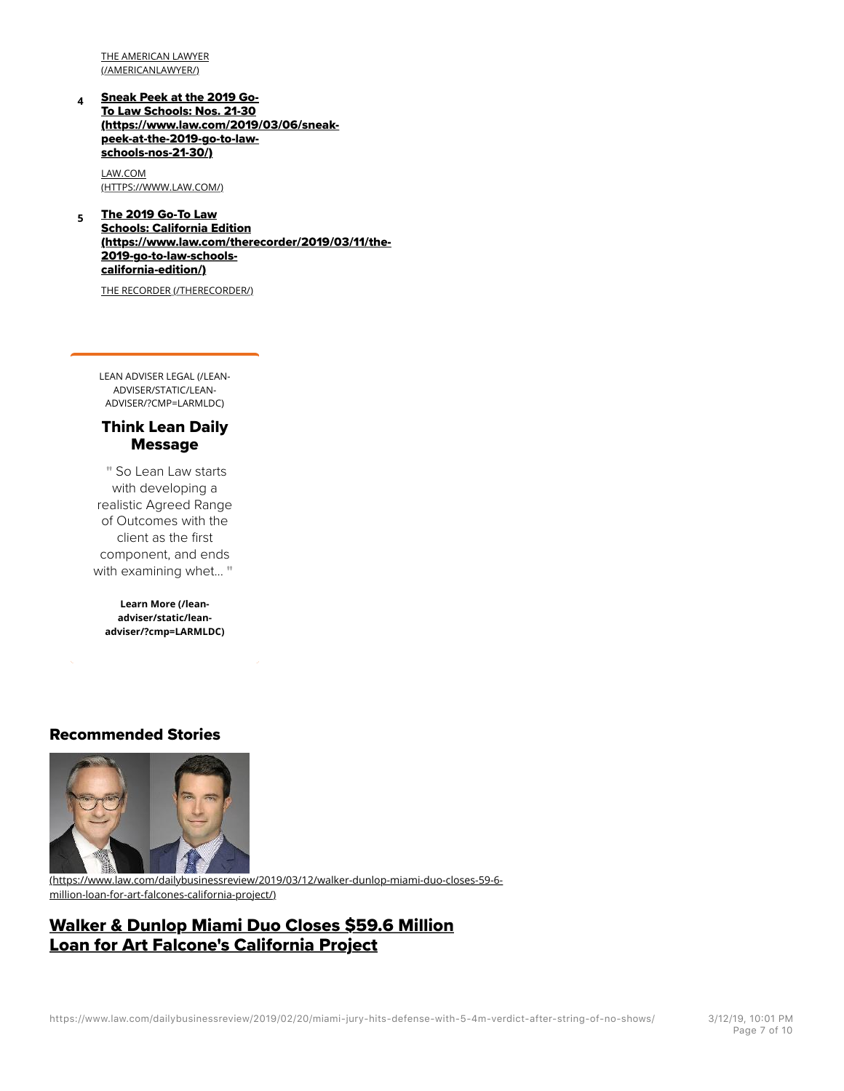THE AMERICAN LAWYER (/AMERICANLAWYER/)

**<sup>4</sup>** Sneak Peek at the 2019 Go-To Law Schools: Nos. 21-30 (https://www.law.com/2019/03/06/sneakpeek-at-the-2019-go-to-lawschools-nos-21-30/)

LAW.COM (HTTPS://WWW.LAW.COM/)

**<sup>5</sup>** The 2019 Go-To Law Schools: California Edition (https://www.law.com/therecorder/2019/03/11/the-2019-go-to-law-schoolscalifornia-edition/)

THE RECORDER (/THERECORDER/)

LEAN ADVISER LEGAL (/LEAN-ADVISER/STATIC/LEAN-ADVISER/?CMP=LARMLDC)

#### Think Lean Daily Message

So Lean Law starts " with developing a realistic Agreed Range of Outcomes with the client as the first component, and ends with examining whet... "

**Learn More (/leanadviser/static/leanadviser/?cmp=LARMLDC)**

#### Recommended Stories



(https://www.law.com/dailybusinessreview/2019/03/12/walker-dunlop-miami-duo-closes-59-6 million-loan-for-art-falcones-california-project/)

## Walker & Dunlop Miami Duo Closes \$59.6 Million Loan for Art Falcone's California Project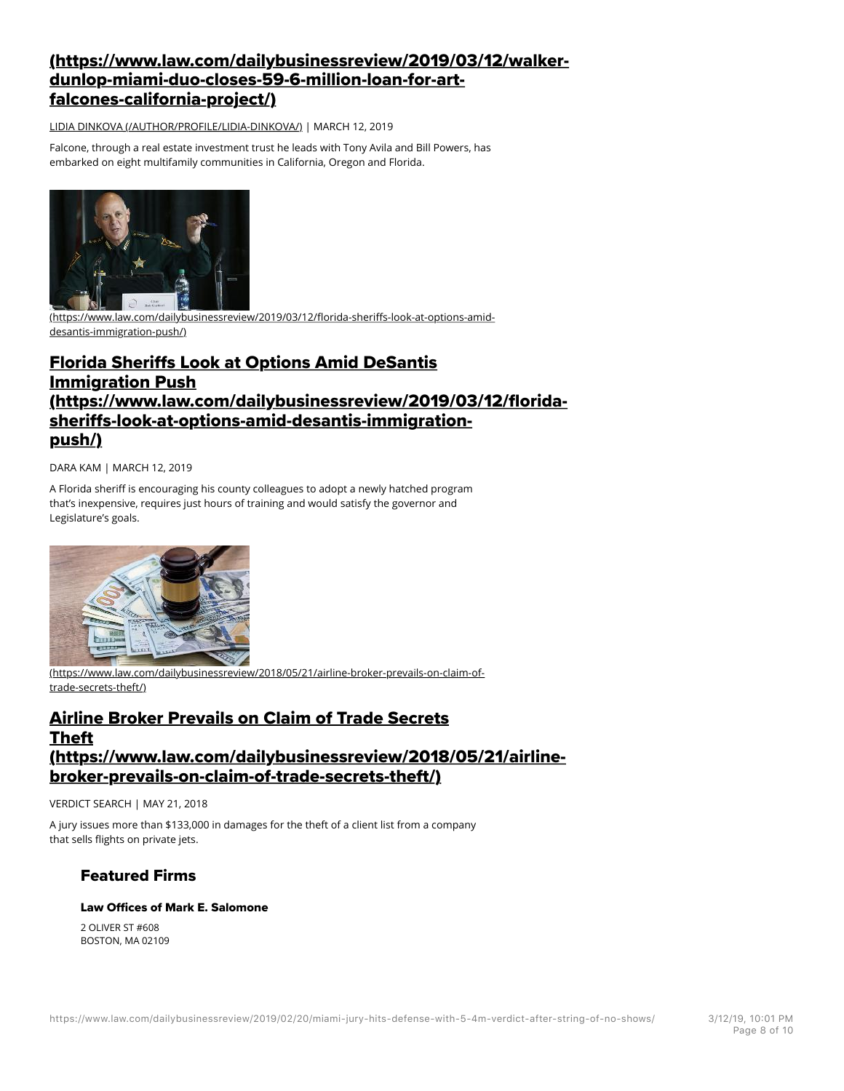# (https://www.law.com/dailybusinessreview/2019/03/12/walkerdunlop-miami-duo-closes-59-6-million-loan-for-artfalcones-california-project/)

LIDIA DINKOVA (/AUTHOR/PROFILE/LIDIA-DINKOVA/) | MARCH 12, 2019

Falcone, through a real estate investment trust he leads with Tony Avila and Bill Powers, has embarked on eight multifamily communities in California, Oregon and Florida.



(https://www.law.com/dailybusinessreview/2019/03/12/florida-sheriffs-look-at-options-amiddesantis-immigration-push/)

# Florida Sherifs Look at Options Amid DeSantis Immigration Push (https://www.law.com/dailybusinessreview/2019/03/12/floridasherifs-look-at-options-amid-desantis-immigrationpush/)

DARA KAM | MARCH 12, 2019

A Florida sheriff is encouraging his county colleagues to adopt a newly hatched program that's inexpensive, requires just hours of training and would satisfy the governor and Legislature's goals.



(https://www.law.com/dailybusinessreview/2018/05/21/airline-broker-prevails-on-claim-oftrade-secrets-theft/)

# Airline Broker Prevails on Claim of Trade Secrets Theft (https://www.law.com/dailybusinessreview/2018/05/21/airlinebroker-prevails-on-claim-of-trade-secrets-theft/)

VERDICT SEARCH | MAY 21, 2018

A jury issues more than \$133,000 in damages for the theft of a client list from a company that sells flights on private jets.

## Featured Firms

#### Law Offices of Mark E. Salomone

2 OLIVER ST #608 BOSTON, MA 02109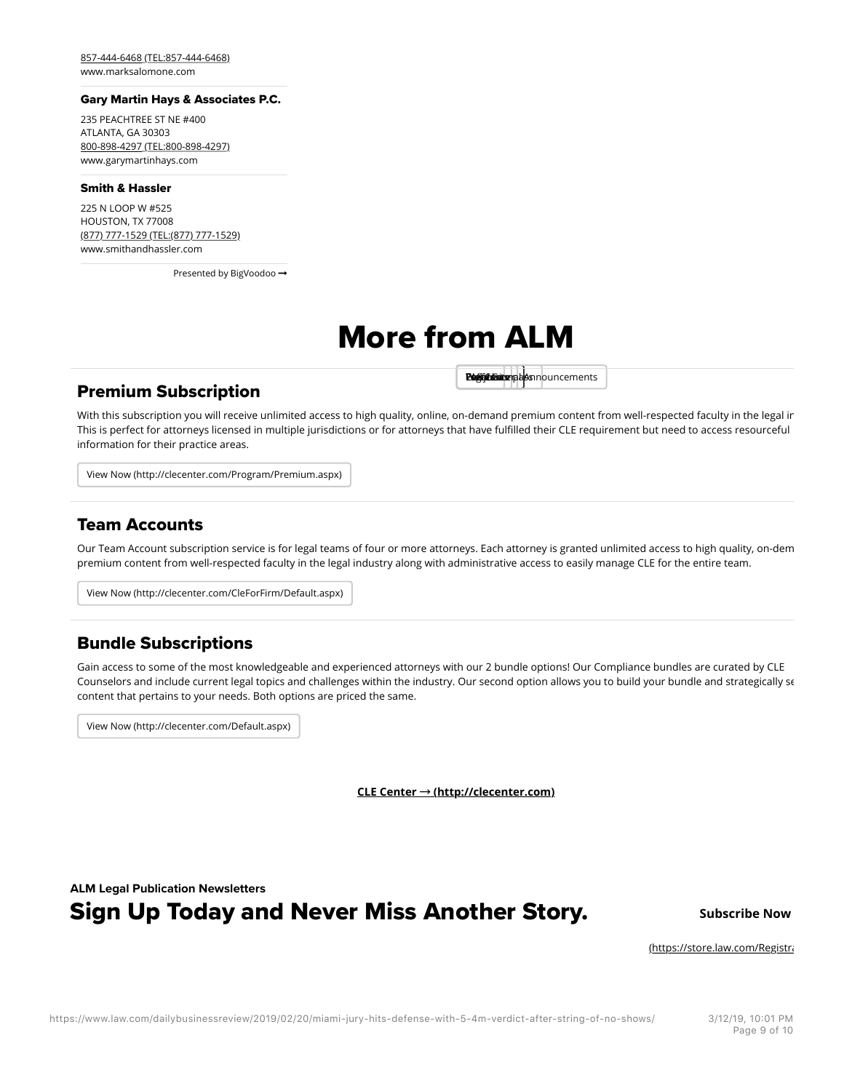857-444-6468 (TEL:857-444-6468) www.marksalomone.com

#### Gary Martin Hays & Associates P.C.

235 PEACHTREE ST NE #400 ATLANTA, GA 30303 800-898-4297 (TEL:800-898-4297) www.garymartinhays.com

#### Smith & Hassler

225 N LOOP W #525 HOUSTON, TX 77008 (877) 777-1529 (TEL:(877) 777-1529) www.smithandhassler.com

Presented by BigVoodoo -

# More from ALM

#### Premium Subscription

Pues Compassional Announcements

With this subscription you will receive unlimited access to high quality, online, on-demand premium content from well-respected faculty in the legal ir This is perfect for attorneys licensed in multiple jurisdictions or for attorneys that have fulfilled their CLE requirement but need to access resourceful information for their practice areas.

View Now (http://clecenter.com/Program/Premium.aspx)

#### Team Accounts

Our Team Account subscription service is for legal teams of four or more attorneys. Each attorney is granted unlimited access to high quality, on-dem premium content from well-respected faculty in the legal industry along with administrative access to easily manage CLE for the entire team.

View Now (http://clecenter.com/CleForFirm/Default.aspx)

#### Bundle Subscriptions

Gain access to some of the most knowledgeable and experienced attorneys with our 2 bundle options! Our Compliance bundles are curated by CLE Counselors and include current legal topics and challenges within the industry. Our second option allows you to build your bundle and strategically se content that pertains to your needs. Both options are priced the same.

View Now (http://clecenter.com/Default.aspx)

**CLE Center Ⱦ (http://clecenter.com)**

**ALM Legal Publication Newsletters**

# **Sign Up Today and Never Miss Another Story.** Subscribe Now

(https://store.law.com/Registration